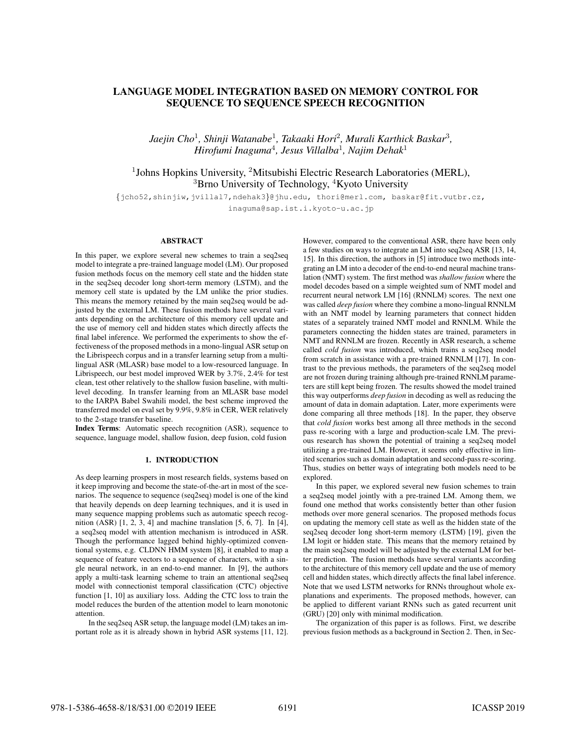# LANGUAGE MODEL INTEGRATION BASED ON MEMORY CONTROL FOR SEQUENCE TO SEQUENCE SPEECH RECOGNITION

*Jaejin Cho*<sup>1</sup> *, Shinji Watanabe*<sup>1</sup> *, Takaaki Hori*<sup>2</sup> *, Murali Karthick Baskar*<sup>3</sup> *, Hirofumi Inaguma*<sup>4</sup> *, Jesus Villalba*<sup>1</sup> *, Najim Dehak*<sup>1</sup>

# <sup>1</sup>Johns Hopkins University, <sup>2</sup>Mitsubishi Electric Research Laboratories (MERL),  ${}^{3}$ Brno University of Technology,  ${}^{4}$ Kyoto University

{jcho52,shinjiw,jvillal7,ndehak3}@jhu.edu, thori@merl.com, baskar@fit.vutbr.cz,

inaguma@sap.ist.i.kyoto-u.ac.jp

## ABSTRACT

In this paper, we explore several new schemes to train a seq2seq model to integrate a pre-trained language model (LM). Our proposed fusion methods focus on the memory cell state and the hidden state in the seq2seq decoder long short-term memory (LSTM), and the memory cell state is updated by the LM unlike the prior studies. This means the memory retained by the main seq2seq would be adjusted by the external LM. These fusion methods have several variants depending on the architecture of this memory cell update and the use of memory cell and hidden states which directly affects the final label inference. We performed the experiments to show the effectiveness of the proposed methods in a mono-lingual ASR setup on the Librispeech corpus and in a transfer learning setup from a multilingual ASR (MLASR) base model to a low-resourced language. In Librispeech, our best model improved WER by 3.7%, 2.4% for test clean, test other relatively to the shallow fusion baseline, with multilevel decoding. In transfer learning from an MLASR base model to the IARPA Babel Swahili model, the best scheme improved the transferred model on eval set by 9.9%, 9.8% in CER, WER relatively to the 2-stage transfer baseline.

Index Terms: Automatic speech recognition (ASR), sequence to sequence, language model, shallow fusion, deep fusion, cold fusion

# 1. INTRODUCTION

As deep learning prospers in most research fields, systems based on it keep improving and become the state-of-the-art in most of the scenarios. The sequence to sequence (seq2seq) model is one of the kind that heavily depends on deep learning techniques, and it is used in many sequence mapping problems such as automatic speech recognition  $(ASR)$   $[1, 2, 3, 4]$  and machine translation  $[5, 6, 7]$ . In  $[4]$ , a seq2seq model with attention mechanism is introduced in ASR. Though the performance lagged behind highly-optimized conventional systems, e.g. CLDNN HMM system [8], it enabled to map a sequence of feature vectors to a sequence of characters, with a single neural network, in an end-to-end manner. In [9], the authors apply a multi-task learning scheme to train an attentional seq2seq model with connectionist temporal classification (CTC) objective function [1, 10] as auxiliary loss. Adding the CTC loss to train the model reduces the burden of the attention model to learn monotonic attention.

In the seq2seq ASR setup, the language model (LM) takes an important role as it is already shown in hybrid ASR systems [11, 12]. However, compared to the conventional ASR, there have been only a few studies on ways to integrate an LM into seq2seq ASR [13, 14, 15]. In this direction, the authors in [5] introduce two methods integrating an LM into a decoder of the end-to-end neural machine translation (NMT) system. The first method was *shallow fusion* where the model decodes based on a simple weighted sum of NMT model and recurrent neural network LM [16] (RNNLM) scores. The next one was called *deep fusion* where they combine a mono-lingual RNNLM with an NMT model by learning parameters that connect hidden states of a separately trained NMT model and RNNLM. While the parameters connecting the hidden states are trained, parameters in NMT and RNNLM are frozen. Recently in ASR research, a scheme called *cold fusion* was introduced, which trains a seq2seq model from scratch in assistance with a pre-trained RNNLM [17]. In contrast to the previous methods, the parameters of the seq2seq model are not frozen during training although pre-trained RNNLM parameters are still kept being frozen. The results showed the model trained this way outperforms *deep fusion* in decoding as well as reducing the amount of data in domain adaptation. Later, more experiments were done comparing all three methods [18]. In the paper, they observe that *cold fusion* works best among all three methods in the second pass re-scoring with a large and production-scale LM. The previous research has shown the potential of training a seq2seq model utilizing a pre-trained LM. However, it seems only effective in limited scenarios such as domain adaptation and second-pass re-scoring. Thus, studies on better ways of integrating both models need to be explored.

In this paper, we explored several new fusion schemes to train a seq2seq model jointly with a pre-trained LM. Among them, we found one method that works consistently better than other fusion methods over more general scenarios. The proposed methods focus on updating the memory cell state as well as the hidden state of the seq2seq decoder long short-term memory (LSTM) [19], given the LM logit or hidden state. This means that the memory retained by the main seq2seq model will be adjusted by the external LM for better prediction. The fusion methods have several variants according to the architecture of this memory cell update and the use of memory cell and hidden states, which directly affects the final label inference. Note that we used LSTM networks for RNNs throughout whole explanations and experiments. The proposed methods, however, can be applied to different variant RNNs such as gated recurrent unit (GRU) [20] only with minimal modification.

The organization of this paper is as follows. First, we describe previous fusion methods as a background in Section 2. Then, in Sec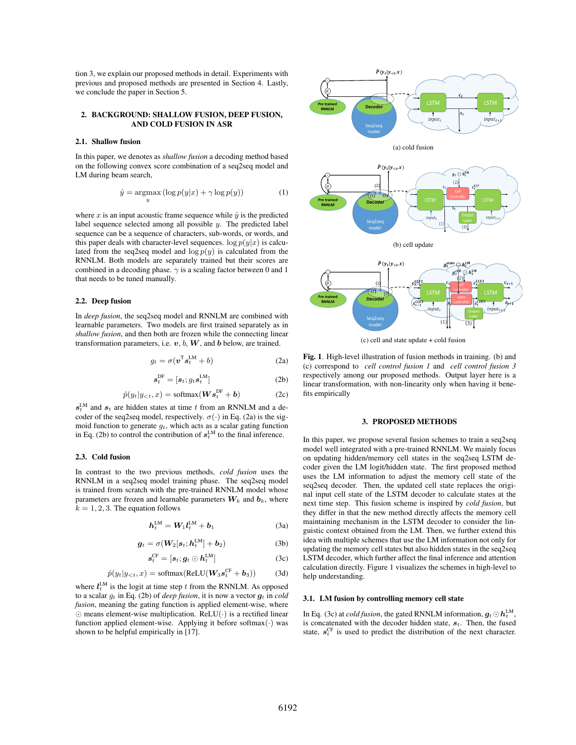tion 3, we explain our proposed methods in detail. Experiments with previous and proposed methods are presented in Section 4. Lastly, we conclude the paper in Section 5.

# 2. BACKGROUND: SHALLOW FUSION, DEEP FUSION, AND COLD FUSION IN ASR

# 2.1. Shallow fusion

In this paper, we denotes as *shallow fusion* a decoding method based on the following convex score combination of a seq2seq model and LM during beam search,

$$
\hat{y} = \underset{y}{\operatorname{argmax}} (\log p(y|x) + \gamma \log p(y))
$$
 (1)

where  $x$  is an input acoustic frame sequence while  $\hat{y}$  is the predicted label sequence selected among all possible y. The predicted label sequence can be a sequence of characters, sub-words, or words, and this paper deals with character-level sequences.  $\log p(y|x)$  is calculated from the seq2seq model and  $\log p(y)$  is calculated from the RNNLM. Both models are separately trained but their scores are combined in a decoding phase.  $\gamma$  is a scaling factor between 0 and 1 that needs to be tuned manually.

# 2.2. Deep fusion

In *deep fusion*, the seq2seq model and RNNLM are combined with learnable parameters. Two models are first trained separately as in *shallow fusion*, and then both are frozen while the connecting linear transformation parameters, i.e.  $v$ ,  $b$ ,  $W$ , and  $b$  below, are trained.

$$
g_t = \sigma(\mathbf{v}^{\mathrm{T}} \mathbf{s}_t^{\mathrm{LM}} + b) \tag{2a}
$$

$$
\boldsymbol{s}_t^{\text{DF}} = [\boldsymbol{s}_t; g_t \boldsymbol{s}_t^{\text{LM}}] \tag{2b}
$$

$$
\hat{p}(y_t|y_{< t}, x) = \text{softmax}(\boldsymbol{W}\boldsymbol{s}_t^{\text{DF}} + \boldsymbol{b})
$$
\n(2c)

 $s_t^{\text{LM}}$  and  $s_t$  are hidden states at time t from an RNNLM and a decoder of the seq2seq model, respectively.  $\sigma(\cdot)$  in Eq. (2a) is the sigmoid function to generate  $g_t$ , which acts as a scalar gating function in Eq. (2b) to control the contribution of  $s_t^{\text{LM}}$  to the final inference.

## 2.3. Cold fusion

In contrast to the two previous methods, *cold fusion* uses the RNNLM in a seq2seq model training phase. The seq2seq model is trained from scratch with the pre-trained RNNLM model whose parameters are frozen and learnable parameters  $W_k$  and  $b_k$ , where  $k = 1, 2, 3$ . The equation follows

$$
h_t^{\text{LM}} = W_1 l_t^{\text{LM}} + b_1 \tag{3a}
$$

$$
\boldsymbol{g}_t = \sigma(\boldsymbol{W}_2[\boldsymbol{s}_t; \boldsymbol{h}_t^{\text{LM}}] + \boldsymbol{b}_2) \tag{3b}
$$

$$
\boldsymbol{s}_t^{\mathrm{CF}} = [\boldsymbol{s}_t; \boldsymbol{g}_t \odot \boldsymbol{h}_t^{\mathrm{LM}}] \tag{3c}
$$

$$
\hat{p}(y_t|y_{< t}, x) = \text{softmax}(\text{ReLU}(\boldsymbol{W}_3 \boldsymbol{s}_t^{\text{CF}} + \boldsymbol{b}_3)) \tag{3d}
$$

where  $l_t^{\text{LM}}$  is the logit at time step t from the RNNLM. As opposed to a scalar  $g_t$  in Eq. (2b) of *deep fusion*, it is now a vector  $g_t$  in *cold fusion*, meaning the gating function is applied element-wise, where  $\odot$  means element-wise multiplication. ReLU( $\cdot$ ) is a rectified linear function applied element-wise. Applying it before softmax $(·)$  was shown to be helpful empirically in [17].



(c) cell and state update + cold fusion

Fig. 1. High-level illustration of fusion methods in training. (b) and (c) correspond to *cell control fusion 1* and *cell control fusion 3* respectively among our proposed methods. Output layer here is a linear transformation, with non-linearity only when having it benefits empirically

## 3. PROPOSED METHODS

In this paper, we propose several fusion schemes to train a seq2seq model well integrated with a pre-trained RNNLM. We mainly focus on updating hidden/memory cell states in the seq2seq LSTM decoder given the LM logit/hidden state. The first proposed method uses the LM information to adjust the memory cell state of the seq2seq decoder. Then, the updated cell state replaces the original input cell state of the LSTM decoder to calculate states at the next time step. This fusion scheme is inspired by *cold fusion*, but they differ in that the new method directly affects the memory cell maintaining mechanism in the LSTM decoder to consider the linguistic context obtained from the LM. Then, we further extend this idea with multiple schemes that use the LM information not only for updating the memory cell states but also hidden states in the seq2seq LSTM decoder, which further affect the final inference and attention calculation directly. Figure 1 visualizes the schemes in high-level to help understanding.

## 3.1. LM fusion by controlling memory cell state

In Eq. (3c) at *cold fusion*, the gated RNNLM information,  $g_t \odot h_t^{\text{LM}}$ , is concatenated with the decoder hidden state,  $s_t$ . Then, the fused state,  $s_t^{\text{CF}}$  is used to predict the distribution of the next character.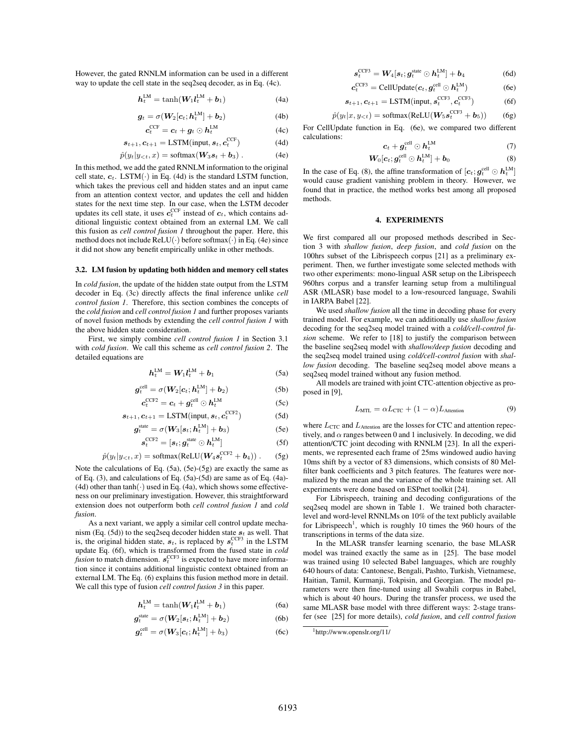However, the gated RNNLM information can be used in a different way to update the cell state in the seq2seq decoder, as in Eq. (4c).

$$
h_t^{\text{LM}} = \tanh(W_1 l_t^{\text{LM}} + b_1) \tag{4a}
$$

$$
\boldsymbol{g}_t = \sigma(\boldsymbol{W}_2[\boldsymbol{c}_t; \boldsymbol{h}_t^{\text{LM}}] + \boldsymbol{b}_2) \tag{4b}
$$

$$
\boldsymbol{c}_t^{\text{CCF}} = \boldsymbol{c}_t + \boldsymbol{g}_t \odot \boldsymbol{h}_t^{\text{LM}} \tag{4c}
$$

$$
\boldsymbol{s}_{t+1}, \boldsymbol{c}_{t+1} = \text{LSTM}(\text{input}, \boldsymbol{s}_t, \boldsymbol{c}_t^{\text{CCF}})
$$
(4d)

$$
\hat{p}(y_t|y_{< t}, x) = \text{softmax}(\mathbf{W}_3 \mathbf{s}_t + \mathbf{b}_3). \tag{4e}
$$

In this method, we add the gated RNNLM information to the original cell state,  $c_t$ . LSTM( $\cdot$ ) in Eq. (4d) is the standard LSTM function, which takes the previous cell and hidden states and an input came from an attention context vector, and updates the cell and hidden states for the next time step. In our case, when the LSTM decoder updates its cell state, it uses  $c_t^{\text{CCF}}$  instead of  $c_t$ , which contains additional linguistic context obtained from an external LM. We call this fusion as *cell control fusion 1* throughout the paper. Here, this method does not include  $ReLU(\cdot)$  before softmax $(\cdot)$  in Eq. (4e) since it did not show any benefit empirically unlike in other methods.

#### 3.2. LM fusion by updating both hidden and memory cell states

In *cold fusion*, the update of the hidden state output from the LSTM decoder in Eq. (3c) directly affects the final inference unlike *cell control fusion 1*. Therefore, this section combines the concepts of the *cold fusion* and *cell control fusion 1* and further proposes variants of novel fusion methods by extending the *cell control fusion 1* with the above hidden state consideration.

First, we simply combine *cell control fusion 1* in Section 3.1 with *cold fusion*. We call this scheme as *cell control fusion 2*. The detailed equations are

$$
\boldsymbol{h}_t^{\text{LM}} = \boldsymbol{W}_1 \boldsymbol{l}_t^{\text{LM}} + \boldsymbol{b}_1 \tag{5a}
$$

$$
\boldsymbol{g}_t^{\text{cell}} = \sigma(\boldsymbol{W}_2[\boldsymbol{c}_t; \boldsymbol{h}_t^{\text{LM}}] + \boldsymbol{b}_2)
$$
(5b)

$$
\boldsymbol{c}_t^{\text{CCF2}} = \boldsymbol{c}_t + \boldsymbol{g}_t^{\text{cell}} \odot \boldsymbol{h}_t^{\text{LM}} \tag{5c}
$$

$$
\boldsymbol{s}_{t+1}, \boldsymbol{c}_{t+1} = \text{LSTM}(\text{input}, \boldsymbol{s}_t, \boldsymbol{c}_t^{\text{CCF2}})
$$
(5d)

$$
\boldsymbol{g}_t^{\text{state}} = \sigma(\boldsymbol{W}_3[\boldsymbol{s}_t; \boldsymbol{h}_t^{\text{LM}}] + \boldsymbol{b}_3) \tag{5e}
$$

$$
\boldsymbol{s}_t^{\text{CCF2}} = [\boldsymbol{s}_t; \boldsymbol{g}_t^{\text{state}} \odot \boldsymbol{h}_t^{\text{LM}}] \tag{5f}
$$

$$
\hat{p}(y_t|y_{< t}, x) = \text{softmax}(\text{ReLU}(\boldsymbol{W}_4 \boldsymbol{s}_t^{\text{CCF2}} + \boldsymbol{b}_4)). \quad (5g)
$$

Note the calculations of Eq. (5a), (5e)-(5g) are exactly the same as of Eq. (3), and calculations of Eq. (5a)-(5d) are same as of Eq. (4a)- (4d) other than  $\tanh(\cdot)$  used in Eq. (4a), which shows some effectiveness on our preliminary investigation. However, this straightforward extension does not outperform both *cell control fusion 1* and *cold fusion*.

As a next variant, we apply a similar cell control update mechanism (Eq. (5d)) to the seq2seq decoder hidden state  $s_t$  as well. That is, the original hidden state,  $s_t$ , is replaced by  $s_t^{\text{CCF3}}$  in the LSTM update Eq. (6f), which is transformed from the fused state in *cold fusion* to match dimension.  $s_t^{\text{CCF3}}$  is expected to have more information since it contains additional linguistic context obtained from an external LM. The Eq. (6) explains this fusion method more in detail. We call this type of fusion *cell control fusion 3* in this paper.

$$
h_t^{\text{LM}} = \tanh(W_1 l_t^{\text{LM}} + b_1) \tag{6a}
$$

$$
g_t^{\text{state}} = \sigma(W_2[s_t; h_t^{\text{LM}}] + b_2)
$$
 (6b)

$$
\boldsymbol{g}_t^{\text{cell}} = \sigma(\boldsymbol{W}_3[\boldsymbol{c}_t; \boldsymbol{h}_t^{\text{LM}}] + b_3) \tag{6c}
$$

$$
\boldsymbol{s}_{t}^{\text{CCF3}} = \boldsymbol{W}_{4}[\boldsymbol{s}_{t}; \boldsymbol{g}_{t}^{\text{state}} \odot \boldsymbol{h}_{t}^{\text{LM}}] + \boldsymbol{b}_{4} \tag{6d}
$$

$$
c_t^{\text{CCF3}} = \text{CellUpdate}(c_t, g_t^{\text{cell}} \odot h_t^{\text{LM}})
$$
 (6e)

$$
\boldsymbol{s}_{t+1}, \boldsymbol{c}_{t+1} = \text{LSTM}(\text{input}, \boldsymbol{s}_t^{\text{CCF3}}, \boldsymbol{c}_t^{\text{CCF3}})
$$
 (6f)

$$
\hat{p}(y_t|x, y_{< t}) = \text{softmax}(\text{ReLU}(\boldsymbol{W}_5 \boldsymbol{s}_t^{\text{CCF3}} + \boldsymbol{b}_5)) \tag{6g}
$$

For CellUpdate function in Eq. (6e), we compared two different calculations:  $\mathbf{L}$ 

$$
c_t + g_t^{\text{cell}} \odot h_t^{\text{LM}} \tag{7}
$$

$$
\mathbf{W}_0[\mathbf{c}_t; \mathbf{g}_t^{\text{cell}} \odot \mathbf{h}_t^{\text{LM}}] + \mathbf{b}_0 \tag{8}
$$

In the case of Eq. (8), the affine transformation of  $[c_t; g_t^{\text{cell}} \odot \boldsymbol{h}_t^{\text{LM}}]$ would cause gradient vanishing problem in theory. However, we found that in practice, the method works best among all proposed methods.

#### 4. EXPERIMENTS

We first compared all our proposed methods described in Section 3 with *shallow fusion*, *deep fusion*, and *cold fusion* on the 100hrs subset of the Librispeech corpus [21] as a preliminary experiment. Then, we further investigate some selected methods with two other experiments: mono-lingual ASR setup on the Librispeech 960hrs corpus and a transfer learning setup from a multilingual ASR (MLASR) base model to a low-resourced language, Swahili in IARPA Babel [22].

We used *shallow fusion* all the time in decoding phase for every trained model. For example, we can additionally use *shallow fusion* decoding for the seq2seq model trained with a *cold/cell-control fusion* scheme. We refer to [18] to justify the comparison between the baseline seq2seq model with *shallow/deep fusion* decoding and the seq2seq model trained using *cold/cell-control fusion* with *shallow fusion* decoding. The baseline seq2seq model above means a seq2seq model trained without any fusion method.

All models are trained with joint CTC-attention objective as proposed in [9],

$$
L_{\text{MTL}} = \alpha L_{\text{CTC}} + (1 - \alpha) L_{\text{Attention}} \tag{9}
$$

where  $L_{\text{CTC}}$  and  $L_{\text{Attention}}$  are the losses for CTC and attention repectively, and  $\alpha$  ranges between 0 and 1 inclusively. In decoding, we did attention/CTC joint decoding with RNNLM [23]. In all the experiments, we represented each frame of 25ms windowed audio having 10ms shift by a vector of 83 dimensions, which consists of 80 Melfilter bank coefficients and 3 pitch features. The features were normalized by the mean and the variance of the whole training set. All experiments were done based on ESPnet toolkit [24].

For Librispeech, training and decoding configurations of the seq2seq model are shown in Table 1. We trained both characterlevel and word-level RNNLMs on 10% of the text publicly available for Librispeech<sup>1</sup>, which is roughly 10 times the 960 hours of the transcriptions in terms of the data size.

In the MLASR transfer learning scenario, the base MLASR model was trained exactly the same as in [25]. The base model was trained using 10 selected Babel languages, which are roughly 640 hours of data: Cantonese, Bengali, Pashto, Turkish, Vietnamese, Haitian, Tamil, Kurmanji, Tokpisin, and Georgian. The model parameters were then fine-tuned using all Swahili corpus in Babel, which is about 40 hours. During the transfer process, we used the same MLASR base model with three different ways: 2-stage transfer (see [25] for more details), *cold fusion*, and *cell control fusion*

<sup>1</sup>http://www.openslr.org/11/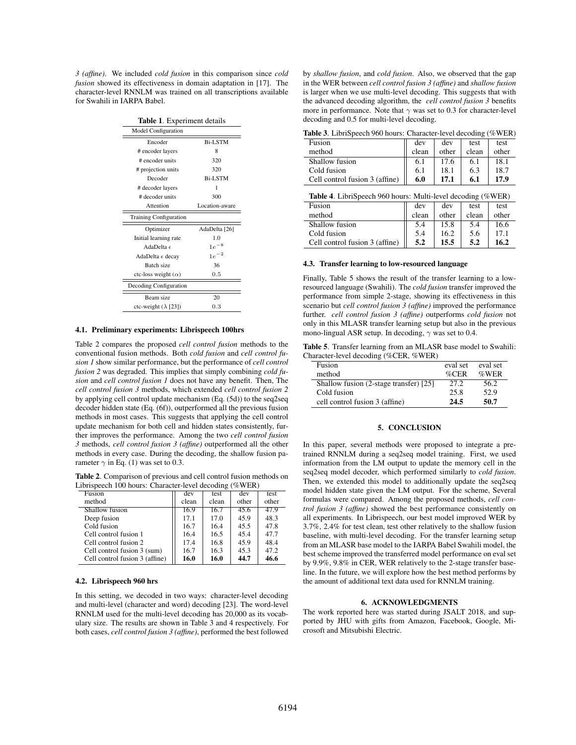*3 (affine)*. We included *cold fusion* in this comparison since *cold fusion* showed its effectiveness in domain adaptation in [17]. The character-level RNNLM was trained on all transcriptions available for Swahili in IARPA Babel.

| Table 1. Experiment details   |                |  |  |
|-------------------------------|----------------|--|--|
| <b>Model Configuration</b>    |                |  |  |
| Encoder                       | <b>Bi-LSTM</b> |  |  |
| # encoder layers              | 8              |  |  |
| # encoder units               | 320            |  |  |
| # projection units            | 320            |  |  |
| Decoder                       | <b>Bi-LSTM</b> |  |  |
| # decoder layers              | 1              |  |  |
| # decoder units               | 300            |  |  |
| Attention                     | Location-aware |  |  |
| <b>Training Configuration</b> |                |  |  |
| Optimizer                     | AdaDelta [26]  |  |  |
| Initial learning rate         | 1.0            |  |  |
| AdaDelta $\epsilon$           | $1e^{-8}$      |  |  |
| AdaDelta $\epsilon$ decay     | $1e^{-2}$      |  |  |
| Batch size                    | 36             |  |  |
| ctc-loss weight $(\alpha)$    | 0.5            |  |  |
| Decoding Configuration        |                |  |  |
| Beam size                     | 20             |  |  |
| ctc-weight $(\lambda$ [23])   | 0.3            |  |  |
|                               |                |  |  |

# 4.1. Preliminary experiments: Librispeech 100hrs

Table 2 compares the proposed *cell control fusion* methods to the conventional fusion methods. Both *cold fusion* and *cell control fusion 1* show similar performance, but the performance of *cell control fusion 2* was degraded. This implies that simply combining *cold fusion* and *cell control fusion 1* does not have any benefit. Then, The *cell control fusion 3* methods, which extended *cell control fusion 2* by applying cell control update mechanism (Eq. (5d)) to the seq2seq decoder hidden state (Eq. (6f)), outperformed all the previous fusion methods in most cases. This suggests that applying the cell control update mechanism for both cell and hidden states consistently, further improves the performance. Among the two *cell control fusion 3* methods, *cell control fusion 3 (affine)* outperformed all the other methods in every case. During the decoding, the shallow fusion parameter  $\gamma$  in Eq. (1) was set to 0.3.

Table 2. Comparison of previous and cell control fusion methods on Librispeech 100 hours: Character-level decoding (%WER)

| Fusion                         | dev   | test  | dev   | test  |
|--------------------------------|-------|-------|-------|-------|
| method                         | clean | clean | other | other |
| Shallow fusion                 | 16.9  | 16.7  | 45.6  | 47.9  |
| Deep fusion                    | 17.1  | 17.0  | 45.9  | 48.3  |
| Cold fusion                    | 16.7  | 16.4  | 45.5  | 47.8  |
| Cell control fusion 1          | 16.4  | 16.5  | 45.4  | 47.7  |
| Cell control fusion 2          | 17.4  | 16.8  | 45.9  | 48.4  |
| Cell control fusion 3 (sum)    | 16.7  | 16.3  | 45.3  | 47.2  |
| Cell control fusion 3 (affine) | 16.0  | 16.0  | 44.7  | 46.6  |

### 4.2. Librispeech 960 hrs

In this setting, we decoded in two ways: character-level decoding and multi-level (character and word) decoding [23]. The word-level RNNLM used for the multi-level decoding has 20,000 as its vocabulary size. The results are shown in Table 3 and 4 respectively. For both cases, *cell control fusion 3 (affine)*, performed the best followed

by *shallow fusion*, and *cold fusion*. Also, we observed that the gap in the WER between *cell control fusion 3 (affine)* and *shallow fusion* is larger when we use multi-level decoding. This suggests that with the advanced decoding algorithm, the *cell control fusion 3* benefits more in performance. Note that  $\gamma$  was set to 0.3 for character-level decoding and 0.5 for multi-level decoding.

| <b>Table 5.</b> Librispeech 900 hours. Character-level decounity (% w EK) |       |       |       |       |
|---------------------------------------------------------------------------|-------|-------|-------|-------|
| Fusion                                                                    | dev   | dev   | test  | test  |
| method                                                                    | clean | other | clean | other |
| Shallow fusion                                                            | 6.1   | 17.6  | 6.1   | 18.1  |
| Cold fusion                                                               | 6.1   | 18.1  | 6.3   | 18.7  |
| Cell control fusion 3 (affine)                                            | 6.0   | 17.1  | 6.1   | 17.9  |

| <b>Table 3</b> . LibriSpeech 960 hours: Character-level decoding (%WER) |  |  |  |
|-------------------------------------------------------------------------|--|--|--|
|-------------------------------------------------------------------------|--|--|--|

| Shallow fusion                                                     | 6.1   | 17.6  | 6.1   | 18.1  |
|--------------------------------------------------------------------|-------|-------|-------|-------|
| Cold fusion                                                        | 6.1   | 18.1  | 6.3   | 18.7  |
| Cell control fusion 3 (affine)                                     | 6.0   | 17.1  | 6.1   | 17.9  |
| <b>Table 4.</b> LibriSpeech 960 hours: Multi-level decoding (%WER) |       |       |       |       |
| Fusion                                                             | dev   | dev   | test  | test  |
| method                                                             | clean | other | clean | other |

Shallow fusion 5.4 15.8 5.4 16.6 Cold fusion  $3 \text{ (affine)} \begin{vmatrix} 5.4 & 16.2 & 5.6 & 17.1 \\ 5.2 & 15.5 & 5.2 & 16.2 \end{vmatrix}$ Cell control fusion 3 (affine)  $\begin{array}{|l|} 5.2 & 15.5 & 5.2 & 16.2 \end{array}$ 

### 4.3. Transfer learning to low-resourced language

Finally, Table 5 shows the result of the transfer learning to a lowresourced language (Swahili). The *cold fusion* transfer improved the performance from simple 2-stage, showing its effectiveness in this scenario but *cell control fusion 3 (affine)* improved the performance further. *cell control fusion 3 (affine)* outperforms *cold fusion* not only in this MLASR transfer learning setup but also in the previous mono-lingual ASR setup. In decoding,  $\gamma$  was set to 0.4.

Table 5. Transfer learning from an MLASR base model to Swahili: Character-level decoding (%CER, %WER)

| Fusion                                 | eval set | eval set |
|----------------------------------------|----------|----------|
| method                                 | $\%$ CER | $\%$ WER |
| Shallow fusion (2-stage transfer) [25] | 27.2     | 56.2     |
| Cold fusion                            | 25.8     | 52.9     |
| cell control fusion 3 (affine)         | 24.5     | 50.7     |

#### 5. CONCLUSION

In this paper, several methods were proposed to integrate a pretrained RNNLM during a seq2seq model training. First, we used information from the LM output to update the memory cell in the seq2seq model decoder, which performed similarly to *cold fusion*. Then, we extended this model to additionally update the seq2seq model hidden state given the LM output. For the scheme, Several formulas were compared. Among the proposed methods, *cell control fusion 3 (affine)* showed the best performance consistently on all experiments. In Librispeech, our best model improved WER by 3.7%, 2.4% for test clean, test other relatively to the shallow fusion baseline, with multi-level decoding. For the transfer learning setup from an MLASR base model to the IARPA Babel Swahili model, the best scheme improved the transferred model performance on eval set by 9.9%, 9.8% in CER, WER relatively to the 2-stage transfer baseline. In the future, we will explore how the best method performs by the amount of additional text data used for RNNLM training.

#### 6. ACKNOWLEDGMENTS

The work reported here was started during JSALT 2018, and supported by JHU with gifts from Amazon, Facebook, Google, Microsoft and Mitsubishi Electric.